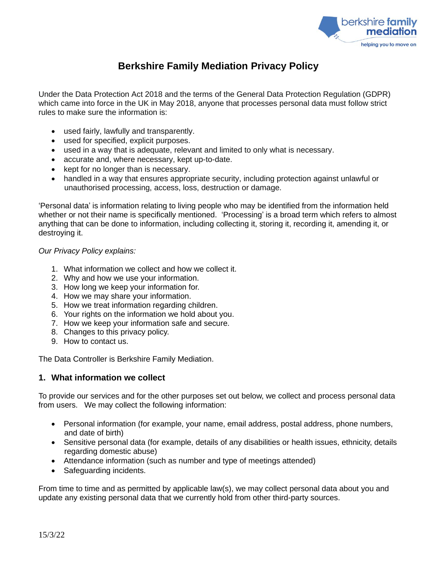

# **Berkshire Family Mediation Privacy Policy**

Under the Data Protection Act 2018 and the terms of the General Data Protection Regulation (GDPR) which came into force in the UK in May 2018, anyone that processes personal data must follow strict rules to make sure the information is:

- used fairly, lawfully and transparently.
- used for specified, explicit purposes.
- used in a way that is adequate, relevant and limited to only what is necessary.
- accurate and, where necessary, kept up-to-date.
- kept for no longer than is necessary.
- handled in a way that ensures appropriate security, including protection against unlawful or unauthorised processing, access, loss, destruction or damage.

'Personal data' is information relating to living people who may be identified from the information held whether or not their name is specifically mentioned. 'Processing' is a broad term which refers to almost anything that can be done to information, including collecting it, storing it, recording it, amending it, or destroying it.

#### *Our Privacy Policy explains:*

- 1. What information we collect and how we collect it.
- 2. Why and how we use your information.
- 3. How long we keep your information for.
- 4. How we may share your information.
- 5. How we treat information regarding children.
- 6. Your rights on the information we hold about you.
- 7. How we keep your information safe and secure.
- 8. Changes to this privacy policy.
- 9. How to contact us.

The Data Controller is Berkshire Family Mediation.

# **1. What information we collect**

To provide our services and for the other purposes set out below, we collect and process personal data from users. We may collect the following information:

- Personal information (for example, your name, email address, postal address, phone numbers, and date of birth)
- Sensitive personal data (for example, details of any disabilities or health issues, ethnicity, details regarding domestic abuse)
- Attendance information (such as number and type of meetings attended)
- Safeguarding incidents.

From time to time and as permitted by applicable law(s), we may collect personal data about you and update any existing personal data that we currently hold from other third-party sources.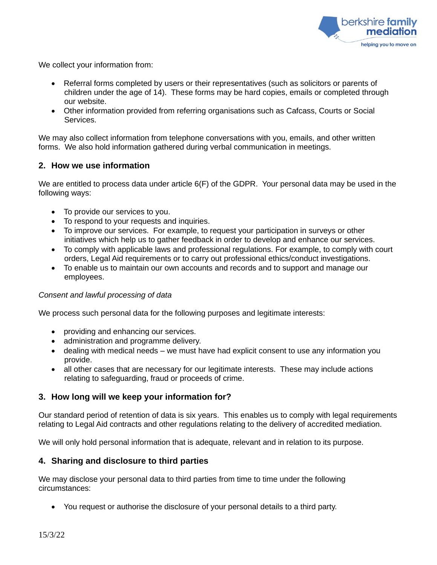

We collect your information from:

- Referral forms completed by users or their representatives (such as solicitors or parents of children under the age of 14). These forms may be hard copies, emails or completed through our website.
- Other information provided from referring organisations such as Cafcass, Courts or Social Services.

We may also collect information from telephone conversations with you, emails, and other written forms. We also hold information gathered during verbal communication in meetings.

# **2. How we use information**

We are entitled to process data under article 6(F) of the GDPR. Your personal data may be used in the following ways:

- To provide our services to you.
- To respond to your requests and inquiries.
- To improve our services. For example, to request your participation in surveys or other initiatives which help us to gather feedback in order to develop and enhance our services.
- To comply with applicable laws and professional regulations. For example, to comply with court orders, Legal Aid requirements or to carry out professional ethics/conduct investigations.
- To enable us to maintain our own accounts and records and to support and manage our employees.

# *Consent and lawful processing of data*

We process such personal data for the following purposes and legitimate interests:

- providing and enhancing our services.
- administration and programme delivery.
- dealing with medical needs we must have had explicit consent to use any information you provide.
- all other cases that are necessary for our legitimate interests. These may include actions relating to safeguarding, fraud or proceeds of crime.

# **3. How long will we keep your information for?**

Our standard period of retention of data is six years. This enables us to comply with legal requirements relating to Legal Aid contracts and other regulations relating to the delivery of accredited mediation.

We will only hold personal information that is adequate, relevant and in relation to its purpose.

# **4. Sharing and disclosure to third parties**

We may disclose your personal data to third parties from time to time under the following circumstances:

• You request or authorise the disclosure of your personal details to a third party.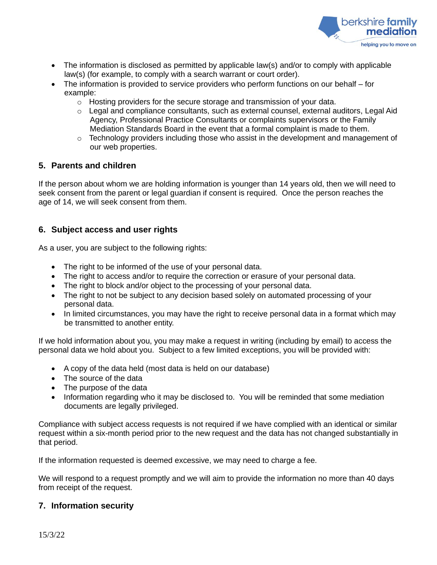

- The information is disclosed as permitted by applicable law(s) and/or to comply with applicable law(s) (for example, to comply with a search warrant or court order).
- The information is provided to service providers who perform functions on our behalf for example:
	- o Hosting providers for the secure storage and transmission of your data.
	- $\circ$  Legal and compliance consultants, such as external counsel, external auditors, Legal Aid Agency, Professional Practice Consultants or complaints supervisors or the Family Mediation Standards Board in the event that a formal complaint is made to them.
	- $\circ$  Technology providers including those who assist in the development and management of our web properties.

#### **5. Parents and children**

If the person about whom we are holding information is younger than 14 years old, then we will need to seek consent from the parent or legal guardian if consent is required. Once the person reaches the age of 14, we will seek consent from them.

# **6. Subject access and user rights**

As a user, you are subject to the following rights:

- The right to be informed of the use of your personal data.
- The right to access and/or to require the correction or erasure of your personal data.
- The right to block and/or object to the processing of your personal data.
- The right to not be subject to any decision based solely on automated processing of your personal data.
- In limited circumstances, you may have the right to receive personal data in a format which may be transmitted to another entity.

If we hold information about you, you may make a request in writing (including by email) to access the personal data we hold about you. Subject to a few limited exceptions, you will be provided with:

- A copy of the data held (most data is held on our database)
- The source of the data
- The purpose of the data
- Information regarding who it may be disclosed to. You will be reminded that some mediation documents are legally privileged.

Compliance with subject access requests is not required if we have complied with an identical or similar request within a six-month period prior to the new request and the data has not changed substantially in that period.

If the information requested is deemed excessive, we may need to charge a fee.

We will respond to a request promptly and we will aim to provide the information no more than 40 days from receipt of the request.

# **7. Information security**